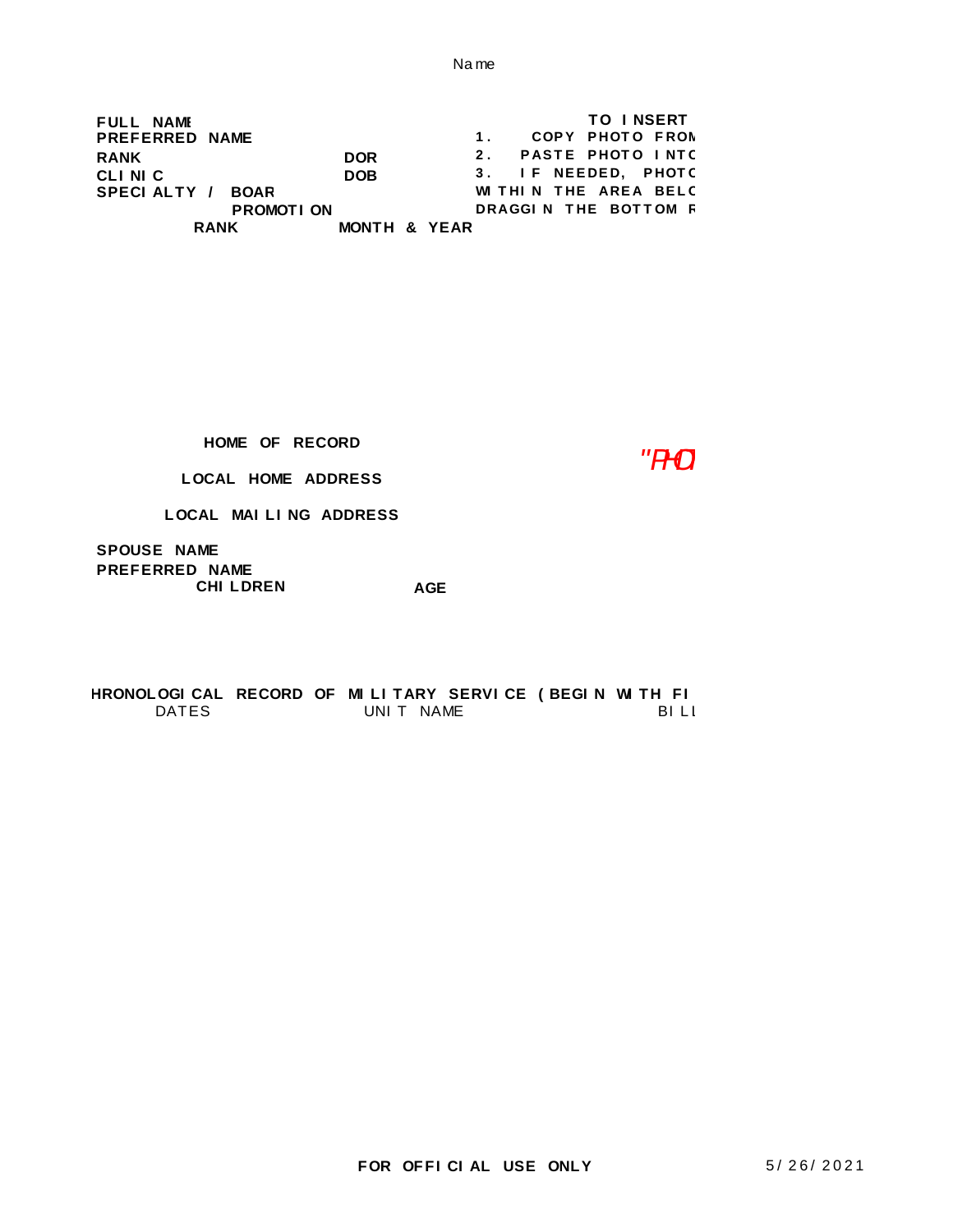**FULL NAME RANK** DOR<br> **CLINIC** DOB **CLINIC PREFERRED NAME** 3. IF NEEDED, PHOTC **WI THI N THE AREA BELC DRAGGI N THE BOTTOM R TO I NSERT SPECI ALTY / BOAR** 1. COPY PHOTO FROM **2.** PASTE PHOTO INTC **RANK MONTH & YEAR PROMOTI ON**

**HOME OF RECORD**

*"PHOTO"*

**LOCAL HOME ADDRESS**

**LOCAL MAI LI NG ADDRESS**

**PREFERRED NAME AGE SPOUSE NAME CHI LDREN**

DATES UNIT NAME BILL BILL HRONOLOGI CAL RECORD OF MI LI TARY SERVI CE ( BEGI N WI TH FI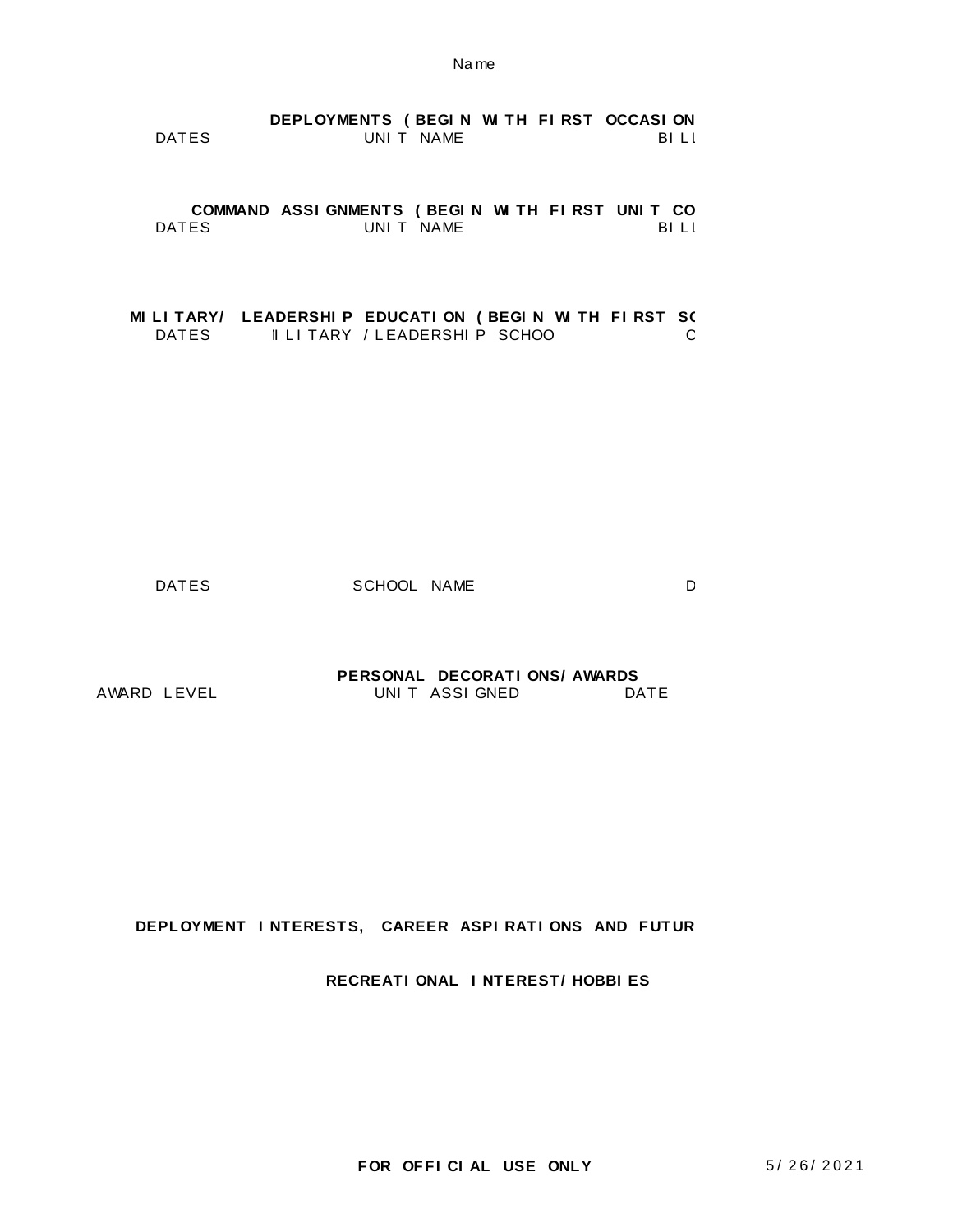|       | DEPLOYMENTS (BEGIN WITH FIRST OCCASION |           |       |  |
|-------|----------------------------------------|-----------|-------|--|
| DATES |                                        | UNIT NAME | -BILI |  |

**COMMAND ASSI GNMENTS ( BEGI N WI TH FI RST UNI T COMMANDED)** DATES UNIT NAME BILL BILL

**MI LI TARY/ LEADERSHI P EDUCATI ON (BEGI N WI TH FI RST SO DATES II LI TARY / LEADERSHI P SCHOO** DATES **II LI TARY / LEADERSHI P SCHOO** 

DATES SCHOOL NAME D

AWARD LEVEL UNIT ASSIGNED DATE **PERSONAL DECORATI ONS/ AWARDS**

**DEPLOYMENT I NTERESTS, CAREER ASPI RATI ONS AND FUTUR** 

**RECREATI ONAL I NTEREST/ HOBBI ES**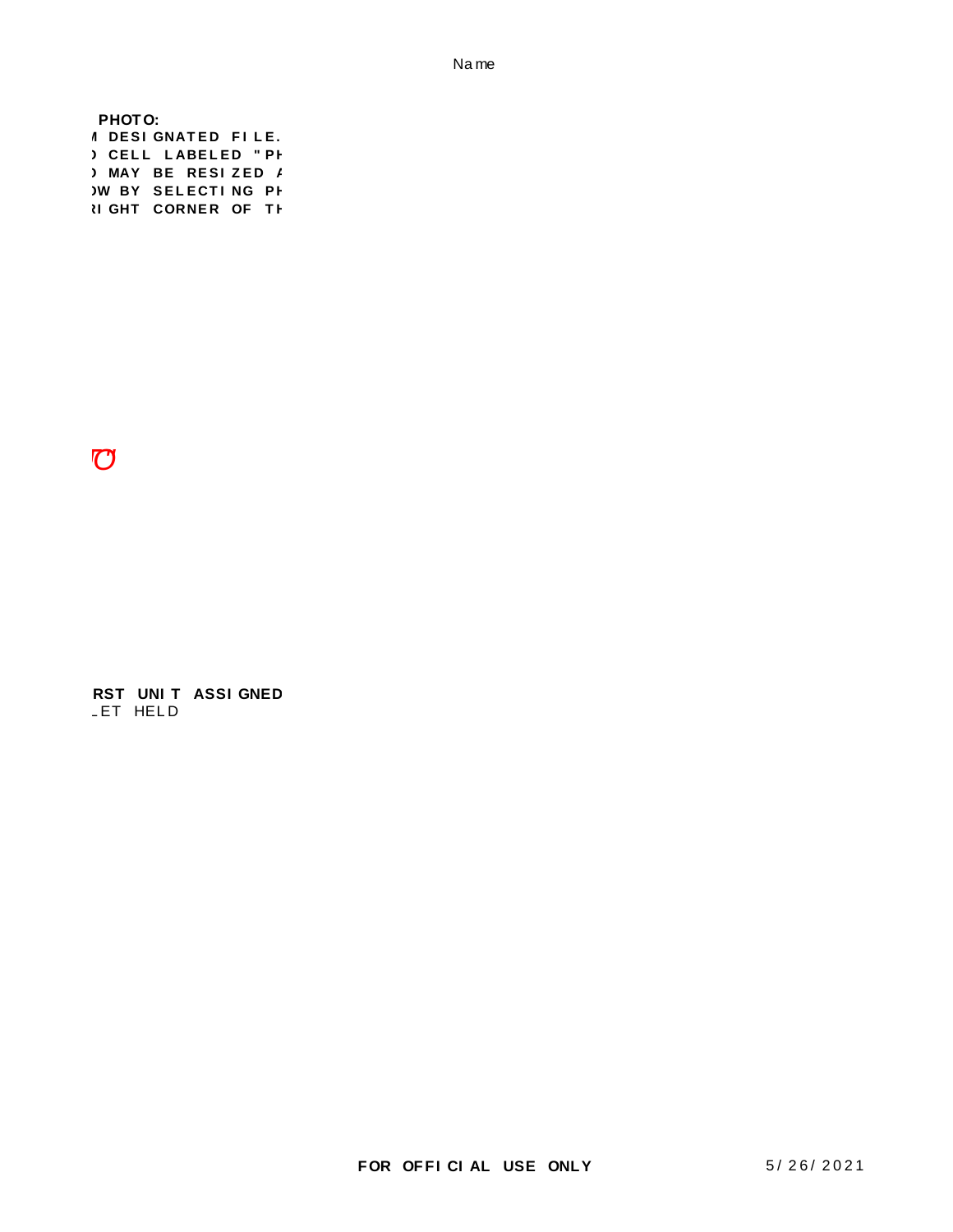**3 MAY BE RESIZED A WBY SELECTING PH N GHT CORNER OF TH** PHOTO: **1 DESI GNATED FILE.** ) CELL LABELED " PH

 $10$ 

LET HELD **RST UNIT ASSI GNED**